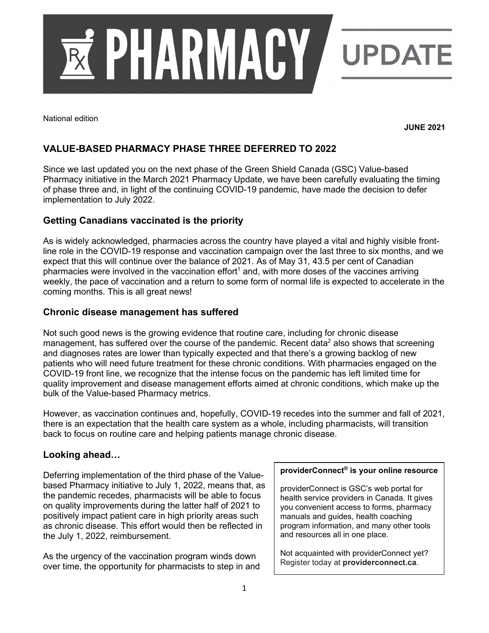

National edition

**JUNE 2021**

# **VALUE-BASED PHARMACY PHASE THREE DEFERRED TO 2022**

Since we last updated you on the next phase of the Green Shield Canada (GSC) Value-based Pharmacy initiative in the March 2021 Pharmacy Update, we have been carefully evaluating the timing of phase three and, in light of the continuing COVID-19 pandemic, have made the decision to defer implementation to July 2022.

## **Getting Canadians vaccinated is the priority**

As is widely acknowledged, pharmacies across the country have played a vital and highly visible frontline role in the COVID-19 response and vaccination campaign over the last three to six months, and we expect that this will continue over the balance of 2021. As of May 31, 43.5 per cent of Canadian pharmacies were involved in the vaccination effort<sup>1</sup> and, with more doses of the vaccines arriving weekly, the pace of vaccination and a return to some form of normal life is expected to accelerate in the coming months. This is all great news!

#### **Chronic disease management has suffered**

Not such good news is the growing evidence that routine care, including for chronic disease management, has suffered over the course of the pandemic. Recent data<sup>2</sup> also shows that screening and diagnoses rates are lower than typically expected and that there's a growing backlog of new patients who will need future treatment for these chronic conditions. With pharmacies engaged on the COVID-19 front line, we recognize that the intense focus on the pandemic has left limited time for quality improvement and disease management efforts aimed at chronic conditions, which make up the bulk of the Value-based Pharmacy metrics.

However, as vaccination continues and, hopefully, COVID-19 recedes into the summer and fall of 2021, there is an expectation that the health care system as a whole, including pharmacists, will transition back to focus on routine care and helping patients manage chronic disease.

#### **Looking ahead…**

Deferring implementation of the third phase of the Valuebased Pharmacy initiative to July 1, 2022, means that, as the pandemic recedes, pharmacists will be able to focus on quality improvements during the latter half of 2021 to positively impact patient care in high priority areas such as chronic disease. This effort would then be reflected in the July 1, 2022, reimbursement.

As the urgency of the vaccination program winds down over time, the opportunity for pharmacists to step in and

#### **providerConnect® is your online resource**

providerConnect is GSC's web portal for health service providers in Canada. It gives you convenient access to forms, pharmacy manuals and guides, health coaching program information, and many other tools and resources all in one place.

Not acquainted with providerConnect yet? Register today at **providerconnect.ca**.